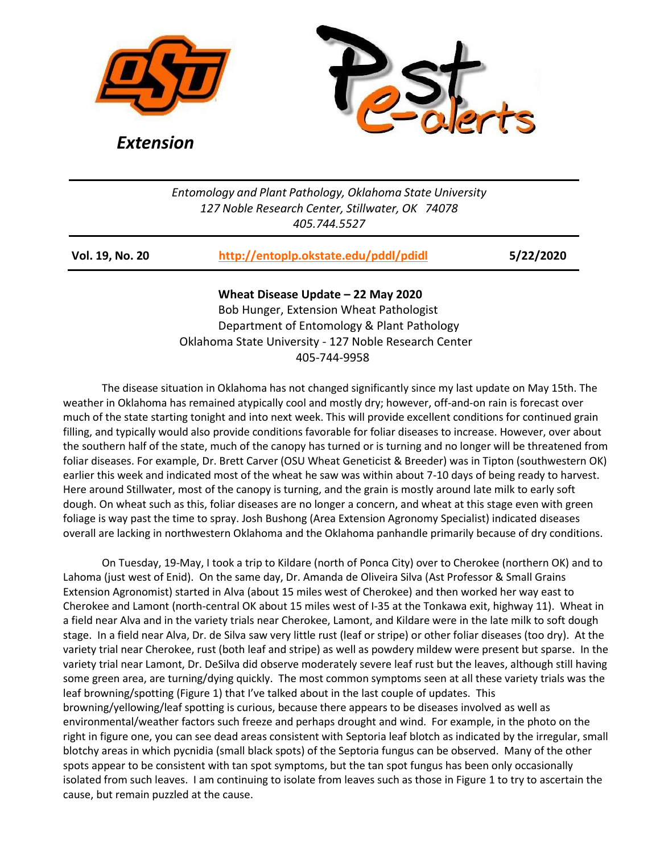



*Extension*

## *Entomology and Plant Pathology, Oklahoma State University 127 Noble Research Center, Stillwater, OK 74078 405.744.5527*

| http://entoplp.okstate.edu/pddl/pdidl<br>5/22/2020<br><b>Vol. 19, No. 20</b> |
|------------------------------------------------------------------------------|
|------------------------------------------------------------------------------|

**Wheat Disease Update – 22 May 2020**  Bob Hunger, Extension Wheat Pathologist Department of Entomology & Plant Pathology Oklahoma State University - 127 Noble Research Center 405-744-9958

The disease situation in Oklahoma has not changed significantly since my last update on May 15th. The weather in Oklahoma has remained atypically cool and mostly dry; however, off-and-on rain is forecast over much of the state starting tonight and into next week. This will provide excellent conditions for continued grain filling, and typically would also provide conditions favorable for foliar diseases to increase. However, over about the southern half of the state, much of the canopy has turned or is turning and no longer will be threatened from foliar diseases. For example, Dr. Brett Carver (OSU Wheat Geneticist & Breeder) was in Tipton (southwestern OK) earlier this week and indicated most of the wheat he saw was within about 7-10 days of being ready to harvest. Here around Stillwater, most of the canopy is turning, and the grain is mostly around late milk to early soft dough. On wheat such as this, foliar diseases are no longer a concern, and wheat at this stage even with green foliage is way past the time to spray. Josh Bushong (Area Extension Agronomy Specialist) indicated diseases overall are lacking in northwestern Oklahoma and the Oklahoma panhandle primarily because of dry conditions.

On Tuesday, 19-May, I took a trip to Kildare (north of Ponca City) over to Cherokee (northern OK) and to Lahoma (just west of Enid). On the same day, Dr. Amanda de Oliveira Silva (Ast Professor & Small Grains Extension Agronomist) started in Alva (about 15 miles west of Cherokee) and then worked her way east to Cherokee and Lamont (north-central OK about 15 miles west of I-35 at the Tonkawa exit, highway 11). Wheat in a field near Alva and in the variety trials near Cherokee, Lamont, and Kildare were in the late milk to soft dough stage. In a field near Alva, Dr. de Silva saw very little rust (leaf or stripe) or other foliar diseases (too dry). At the variety trial near Cherokee, rust (both leaf and stripe) as well as powdery mildew were present but sparse. In the variety trial near Lamont, Dr. DeSilva did observe moderately severe leaf rust but the leaves, although still having some green area, are turning/dying quickly. The most common symptoms seen at all these variety trials was the leaf browning/spotting (Figure 1) that I've talked about in the last couple of updates. This browning/yellowing/leaf spotting is curious, because there appears to be diseases involved as well as environmental/weather factors such freeze and perhaps drought and wind. For example, in the photo on the right in figure one, you can see dead areas consistent with Septoria leaf blotch as indicated by the irregular, small blotchy areas in which pycnidia (small black spots) of the Septoria fungus can be observed. Many of the other spots appear to be consistent with tan spot symptoms, but the tan spot fungus has been only occasionally isolated from such leaves. I am continuing to isolate from leaves such as those in Figure 1 to try to ascertain the cause, but remain puzzled at the cause.